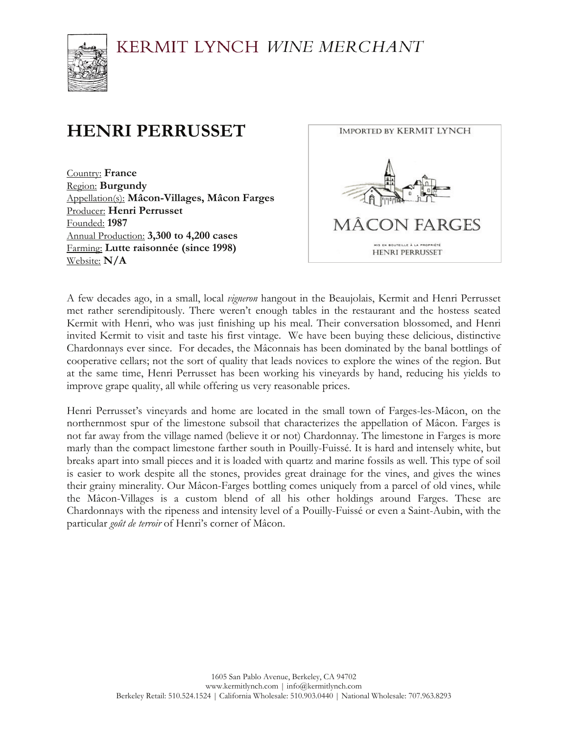KERMIT LYNCH WINE MERCHANT



## **HENRI PERRUSSET**

Country: **France** Region: **Burgundy** Appellation(s): **Mâcon-Villages, Mâcon Farges** Producer: **Henri Perrusset** Founded: **1987** Annual Production: **3,300 to 4,200 cases** Farming: **Lutte raisonnée (since 1998)** Website: **N/A**



A few decades ago, in a small, local *vigneron* hangout in the Beaujolais, Kermit and Henri Perrusset met rather serendipitously. There weren't enough tables in the restaurant and the hostess seated Kermit with Henri, who was just finishing up his meal. Their conversation blossomed, and Henri invited Kermit to visit and taste his first vintage. We have been buying these delicious, distinctive Chardonnays ever since. For decades, the Mâconnais has been dominated by the banal bottlings of cooperative cellars; not the sort of quality that leads novices to explore the wines of the region. But at the same time, Henri Perrusset has been working his vineyards by hand, reducing his yields to improve grape quality, all while offering us very reasonable prices.

Henri Perrusset's vineyards and home are located in the small town of Farges-les-Mâcon, on the northernmost spur of the limestone subsoil that characterizes the appellation of Mâcon. Farges is not far away from the village named (believe it or not) Chardonnay. The limestone in Farges is more marly than the compact limestone farther south in Pouilly-Fuissé. It is hard and intensely white, but breaks apart into small pieces and it is loaded with quartz and marine fossils as well. This type of soil is easier to work despite all the stones, provides great drainage for the vines, and gives the wines their grainy minerality. Our Mâcon-Farges bottling comes uniquely from a parcel of old vines, while the Mâcon-Villages is a custom blend of all his other holdings around Farges. These are Chardonnays with the ripeness and intensity level of a Pouilly-Fuissé or even a Saint-Aubin, with the particular *goût de terroir* of Henri's corner of Mâcon.